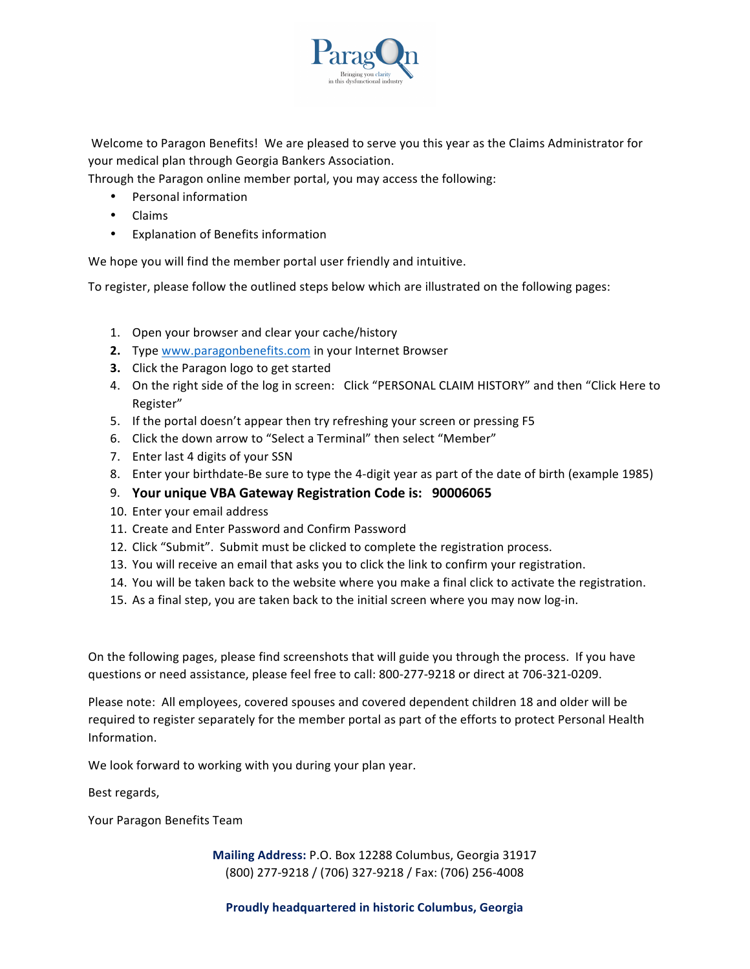

Welcome to Paragon Benefits! We are pleased to serve you this year as the Claims Administrator for your medical plan through Georgia Bankers Association.

Through the Paragon online member portal, you may access the following:

- Personal information
- Claims
- Explanation of Benefits information

We hope you will find the member portal user friendly and intuitive.

To register, please follow the outlined steps below which are illustrated on the following pages:

- 1. Open your browser and clear your cache/history
- **2.** Type www.paragonbenefits.com in your Internet Browser
- **3.** Click the Paragon logo to get started
- 4. On the right side of the log in screen: Click "PERSONAL CLAIM HISTORY" and then "Click Here to Register"
- 5. If the portal doesn't appear then try refreshing your screen or pressing F5
- 6. Click the down arrow to "Select a Terminal" then select "Member"
- 7. Enter last 4 digits of your SSN
- 8. Enter your birthdate-Be sure to type the 4-digit year as part of the date of birth (example 1985)
- 9. **Your unique VBA Gateway Registration Code is: 90006065**
- 10. Enter your email address
- 11. Create and Enter Password and Confirm Password
- 12. Click "Submit". Submit must be clicked to complete the registration process.
- 13. You will receive an email that asks you to click the link to confirm your registration.
- 14. You will be taken back to the website where you make a final click to activate the registration.
- 15. As a final step, you are taken back to the initial screen where you may now log-in.

On the following pages, please find screenshots that will guide you through the process. If you have questions or need assistance, please feel free to call: 800-277-9218 or direct at 706-321-0209.

Please note: All employees, covered spouses and covered dependent children 18 and older will be required to register separately for the member portal as part of the efforts to protect Personal Health Information. 

We look forward to working with you during your plan year.

Best regards,

Your Paragon Benefits Team

**Mailing Address: P.O. Box 12288 Columbus, Georgia 31917** (800) 277-9218 / (706) 327-9218 / Fax: (706) 256-4008

**Proudly headquartered in historic Columbus, Georgia**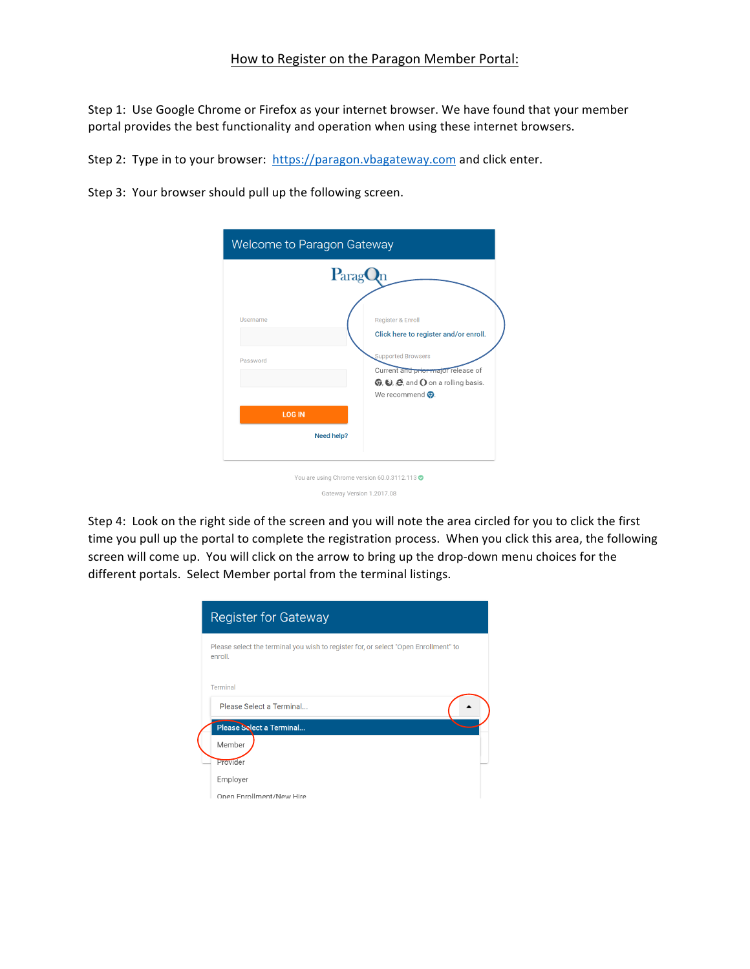## How to Register on the Paragon Member Portal:

Step 1: Use Google Chrome or Firefox as your internet browser. We have found that your member portal provides the best functionality and operation when using these internet browsers.

Step 2: Type in to your browser: https://paragon.vbagateway.com and click enter.

Step 3: Your browser should pull up the following screen.

| Welcome to Paragon Gateway  |                                                                                                                                                                                                                          |  |
|-----------------------------|--------------------------------------------------------------------------------------------------------------------------------------------------------------------------------------------------------------------------|--|
|                             | Parag                                                                                                                                                                                                                    |  |
| Username<br>Password        | Register & Enroll<br>Click here to register and/or enroll.<br><b>Supported Browsers</b><br>Current and prior major release of<br>$\odot$ , $\odot$ , $\odot$ , and $\odot$ on a rolling basis.<br>We recommend $\odot$ . |  |
| <b>LOG IN</b><br>Need help? |                                                                                                                                                                                                                          |  |
|                             | You are using Chrome version 60.0.3112.113 ●<br>Gateway Version 1.2017.08                                                                                                                                                |  |

Step 4: Look on the right side of the screen and you will note the area circled for you to click the first time you pull up the portal to complete the registration process. When you click this area, the following screen will come up. You will click on the arrow to bring up the drop-down menu choices for the different portals. Select Member portal from the terminal listings.

| <b>Register for Gateway</b>                                                                    |
|------------------------------------------------------------------------------------------------|
| Please select the terminal you wish to register for, or select "Open Enrollment" to<br>enroll. |
| Terminal                                                                                       |
| Please Select a Terminal                                                                       |
| Please Select a Terminal                                                                       |
| Member                                                                                         |
| Provider                                                                                       |
| Employer                                                                                       |
| Onen Enrollment/New Hire                                                                       |